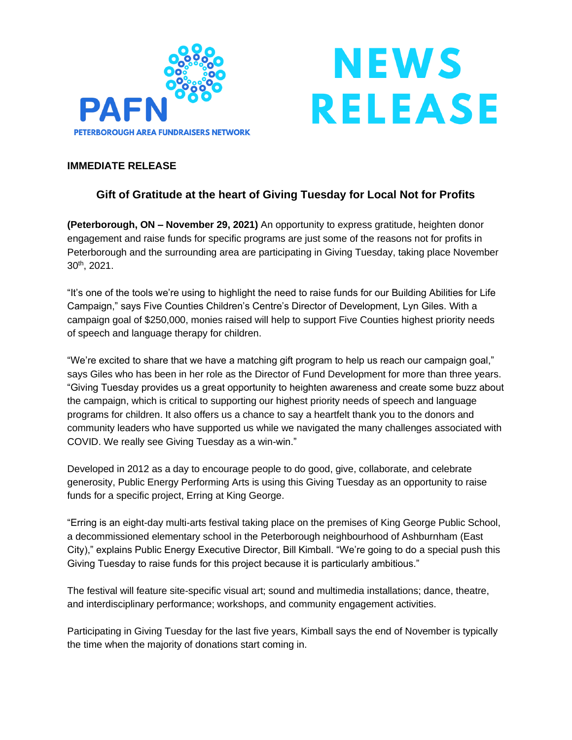

## **NEWS RELEASE**

## **IMMEDIATE RELEASE**

## **Gift of Gratitude at the heart of Giving Tuesday for Local Not for Profits**

**(Peterborough, ON – November 29, 2021)** An opportunity to express gratitude, heighten donor engagement and raise funds for specific programs are just some of the reasons not for profits in Peterborough and the surrounding area are participating in Giving Tuesday, taking place November 30th , 2021.

"It's one of the tools we're using to highlight the need to raise funds for our Building Abilities for Life Campaign," says Five Counties Children's Centre's Director of Development, Lyn Giles. With a campaign goal of \$250,000, monies raised will help to support Five Counties highest priority needs of speech and language therapy for children.

"We're excited to share that we have a matching gift program to help us reach our campaign goal," says Giles who has been in her role as the Director of Fund Development for more than three years. "Giving Tuesday provides us a great opportunity to heighten awareness and create some buzz about the campaign, which is critical to supporting our highest priority needs of speech and language programs for children. It also offers us a chance to say a heartfelt thank you to the donors and community leaders who have supported us while we navigated the many challenges associated with COVID. We really see Giving Tuesday as a win-win."

Developed in 2012 as a day to encourage people to do good, give, collaborate, and celebrate generosity, Public Energy Performing Arts is using this Giving Tuesday as an opportunity to raise funds for a specific project, Erring at King George.

"Erring is an eight-day multi-arts festival taking place on the premises of King George Public School, a decommissioned elementary school in the Peterborough neighbourhood of Ashburnham (East City)," explains Public Energy Executive Director, Bill Kimball. "We're going to do a special push this Giving Tuesday to raise funds for this project because it is particularly ambitious."

The festival will feature site-specific visual art; sound and multimedia installations; dance, theatre, and interdisciplinary performance; workshops, and community engagement activities.

Participating in Giving Tuesday for the last five years, Kimball says the end of November is typically the time when the majority of donations start coming in.